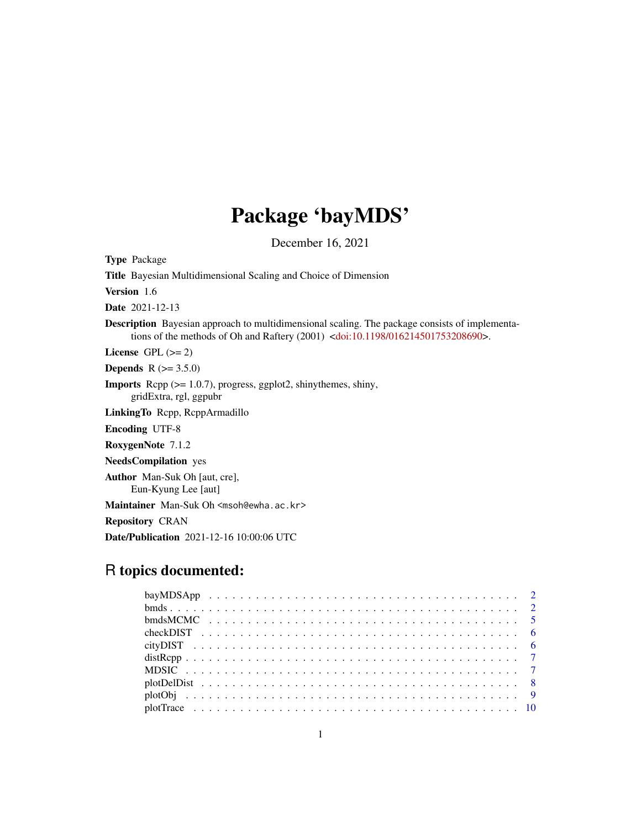# Package 'bayMDS'

December 16, 2021

Type Package Title Bayesian Multidimensional Scaling and Choice of Dimension Version 1.6 Date 2021-12-13 Description Bayesian approach to multidimensional scaling. The package consists of implementations of the methods of Oh and Raftery (2001) [<doi:10.1198/016214501753208690>](https://doi.org/10.1198/016214501753208690). License GPL  $(>= 2)$ **Depends** R  $(>= 3.5.0)$ Imports Rcpp (>= 1.0.7), progress, ggplot2, shinythemes, shiny, gridExtra, rgl, ggpubr LinkingTo Rcpp, RcppArmadillo Encoding UTF-8 RoxygenNote 7.1.2 NeedsCompilation yes Author Man-Suk Oh [aut, cre], Eun-Kyung Lee [aut] Maintainer Man-Suk Oh <msoh@ewha.ac.kr> Repository CRAN Date/Publication 2021-12-16 10:00:06 UTC

# R topics documented: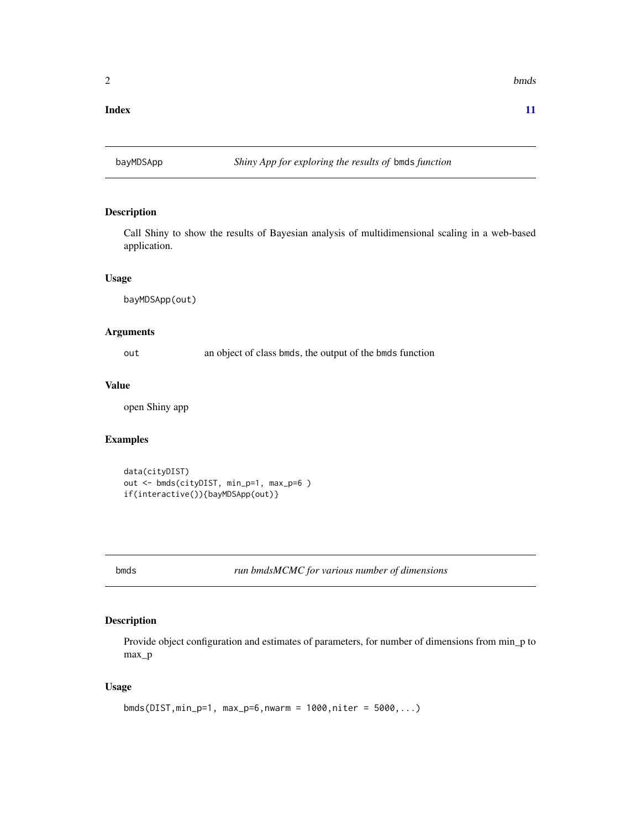#### <span id="page-1-0"></span>**Index** [11](#page-10-0)

# Description

Call Shiny to show the results of Bayesian analysis of multidimensional scaling in a web-based application.

#### Usage

bayMDSApp(out)

#### Arguments

out an object of class bmds, the output of the bmds function

# Value

open Shiny app

# Examples

```
data(cityDIST)
out <- bmds(cityDIST, min_p=1, max_p=6 )
if(interactive()){bayMDSApp(out)}
```
bmds *run bmdsMCMC for various number of dimensions*

# Description

Provide object configuration and estimates of parameters, for number of dimensions from min\_p to max\_p

#### Usage

```
bmds(DIST, min_p=1, max_p=6, nwarm = 1000, niter = 5000,...)
```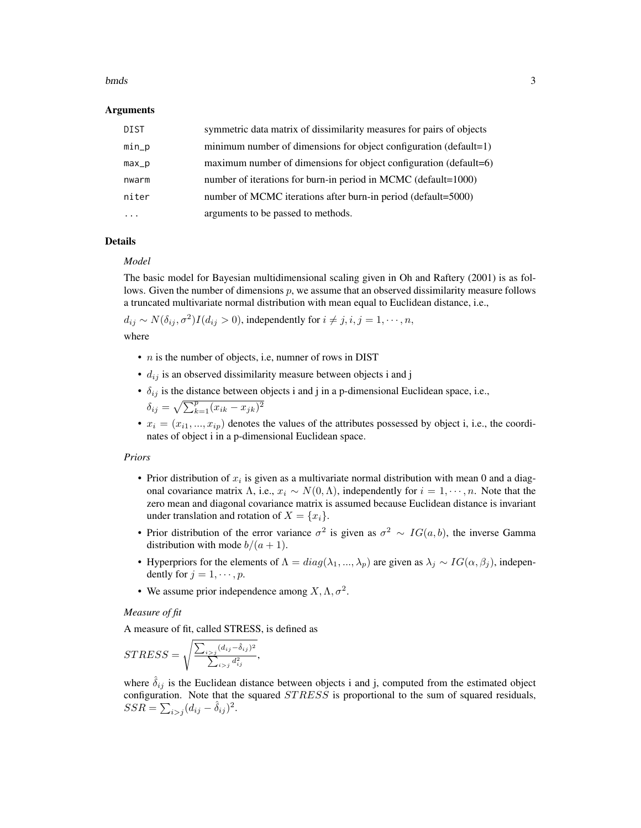#### bmds 3

#### Arguments

| DIST    | symmetric data matrix of dissimilarity measures for pairs of objects |
|---------|----------------------------------------------------------------------|
| $min_p$ | minimum number of dimensions for object configuration (default=1)    |
| $max_p$ | maximum number of dimensions for object configuration (default=6)    |
| nwarm   | number of iterations for burn-in period in MCMC (default=1000)       |
| niter   | number of MCMC iterations after burn-in period (default=5000)        |
| .       | arguments to be passed to methods.                                   |

# Details

#### *Model*

The basic model for Bayesian multidimensional scaling given in Oh and Raftery (2001) is as follows. Given the number of dimensions  $p$ , we assume that an observed dissimilarity measure follows a truncated multivariate normal distribution with mean equal to Euclidean distance, i.e.,

 $d_{ij} \sim N(\delta_{ij}, \sigma^2) I(d_{ij} > 0)$ , independently for  $i \neq j, i, j = 1, \cdots, n$ ,

where

- $n$  is the number of objects, i.e, numner of rows in DIST
- $d_{ij}$  is an observed dissimilarity measure between objects i and j
- $\delta_{ij}$  is the distance between objects i and j in a p-dimensional Euclidean space, i.e.,  $\overline{2}$

$$
\delta_{ij} = \sqrt{\sum_{k=1}^{p} (x_{ik} - x_{jk})^2}
$$

•  $x_i = (x_{i1},...,x_{ip})$  denotes the values of the attributes possessed by object i, i.e., the coordinates of object i in a p-dimensional Euclidean space.

#### *Priors*

- Prior distribution of  $x_i$  is given as a multivariate normal distribution with mean 0 and a diagonal covariance matrix  $\Lambda$ , i.e.,  $x_i \sim N(0,\Lambda)$ , independently for  $i = 1, \dots, n$ . Note that the zero mean and diagonal covariance matrix is assumed because Euclidean distance is invariant under translation and rotation of  $X = \{x_i\}$ .
- Prior distribution of the error variance  $\sigma^2$  is given as  $\sigma^2 \sim IG(a, b)$ , the inverse Gamma distribution with mode  $b/(a+1)$ .
- Hyperpriors for the elements of  $\Lambda = diag(\lambda_1, ..., \lambda_p)$  are given as  $\lambda_j \sim IG(\alpha, \beta_j)$ , independently for  $j = 1, \dots, p$ .
- We assume prior independence among  $X, \Lambda, \sigma^2$ .

#### *Measure of fit*

A measure of fit, called STRESS, is defined as

$$
STRESS = \sqrt{\frac{\sum_{i>j} (d_{ij} - \hat{\delta}_{ij})^2}{\sum_{i>j} d_{ij}^2}},
$$

where  $\delta_{ij}$  is the Euclidean distance between objects i and j, computed from the estimated object configuration. Note that the squared  $STRESS$  is proportional to the sum of squared residuals,  $SSR = \sum_{i>j} (d_{ij} - \hat{\delta}_{ij})^2.$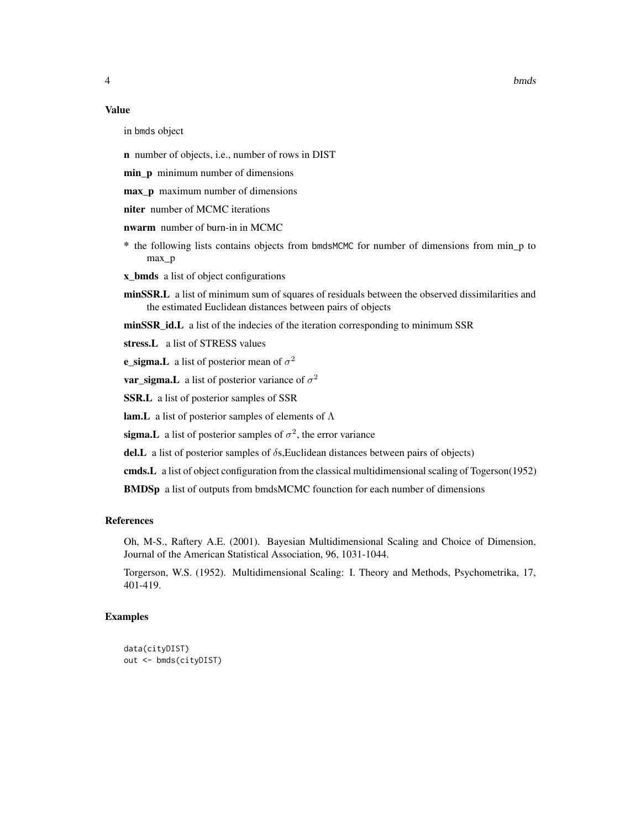#### Value

in bmds object

n number of objects, i.e., number of rows in DIST

min\_p minimum number of dimensions

max\_p maximum number of dimensions

niter number of MCMC iterations

nwarm number of burn-in in MCMC

\* the following lists contains objects from bmdsMCMC for number of dimensions from min\_p to max\_p

x\_bmds a list of object configurations

minSSR.L a list of minimum sum of squares of residuals between the observed dissimilarities and the estimated Euclidean distances between pairs of objects

minSSR\_id.L a list of the indecies of the iteration corresponding to minimum SSR

stress.L a list of STRESS values

**e\_sigma.** L a list of posterior mean of  $\sigma^2$ 

**var\_sigma.** L a list of posterior variance of  $\sigma^2$ 

SSR.L a list of posterior samples of SSR

**lam.** L a list of posterior samples of elements of  $\Lambda$ 

sigma. L a list of posterior samples of  $\sigma^2$ , the error variance

del.L a list of posterior samples of  $\delta$ s, Euclidean distances between pairs of objects)

cmds.L a list of object configuration from the classical multidimensional scaling of Togerson(1952)

BMDSp a list of outputs from bmdsMCMC founction for each number of dimensions

#### References

Oh, M-S., Raftery A.E. (2001). Bayesian Multidimensional Scaling and Choice of Dimension, Journal of the American Statistical Association, 96, 1031-1044.

Torgerson, W.S. (1952). Multidimensional Scaling: I. Theory and Methods, Psychometrika, 17, 401-419.

#### Examples

```
data(cityDIST)
out <- bmds(cityDIST)
```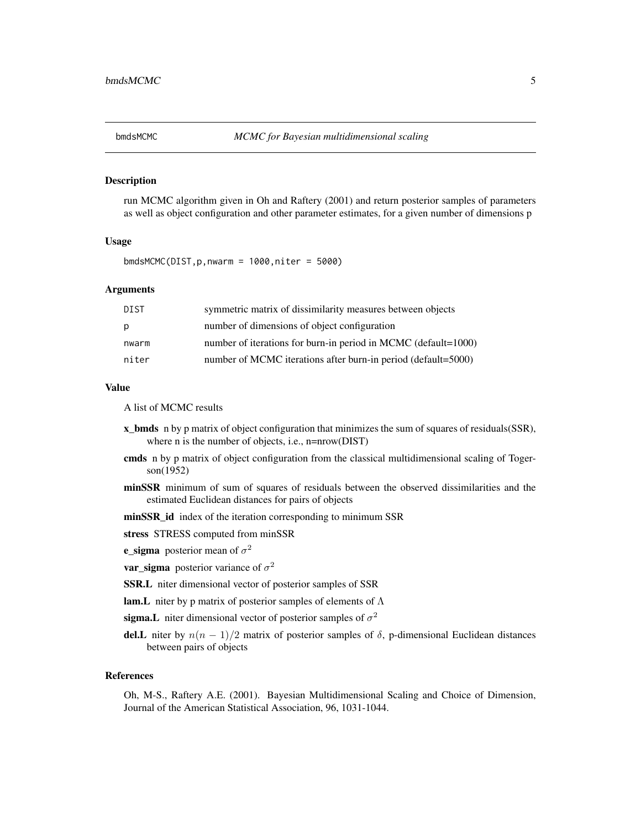<span id="page-4-0"></span>

#### Description

run MCMC algorithm given in Oh and Raftery (2001) and return posterior samples of parameters as well as object configuration and other parameter estimates, for a given number of dimensions p

#### Usage

 $bmdsMCMC(DIST, p, nwarm = 1000, niter = 5000)$ 

#### Arguments

| DIST  | symmetric matrix of dissimilarity measures between objects     |
|-------|----------------------------------------------------------------|
| p     | number of dimensions of object configuration                   |
| nwarm | number of iterations for burn-in period in MCMC (default=1000) |
| niter | number of MCMC iterations after burn-in period (default=5000)  |

#### Value

A list of MCMC results

- x\_bmds n by p matrix of object configuration that minimizes the sum of squares of residuals(SSR), where n is the number of objects, i.e., n=nrow(DIST)
- cmds n by p matrix of object configuration from the classical multidimensional scaling of Togerson(1952)
- minSSR minimum of sum of squares of residuals between the observed dissimilarities and the estimated Euclidean distances for pairs of objects
- minSSR\_id index of the iteration corresponding to minimum SSR
- stress STRESS computed from minSSR
- e\_sigma posterior mean of  $\sigma^2$
- **var\_sigma** posterior variance of  $\sigma^2$
- SSR.L niter dimensional vector of posterior samples of SSR
- **lam.** L niter by p matrix of posterior samples of elements of  $\Lambda$
- sigma.L niter dimensional vector of posterior samples of  $\sigma^2$
- del.L niter by  $n(n 1)/2$  matrix of posterior samples of  $\delta$ , p-dimensional Euclidean distances between pairs of objects

#### References

Oh, M-S., Raftery A.E. (2001). Bayesian Multidimensional Scaling and Choice of Dimension, Journal of the American Statistical Association, 96, 1031-1044.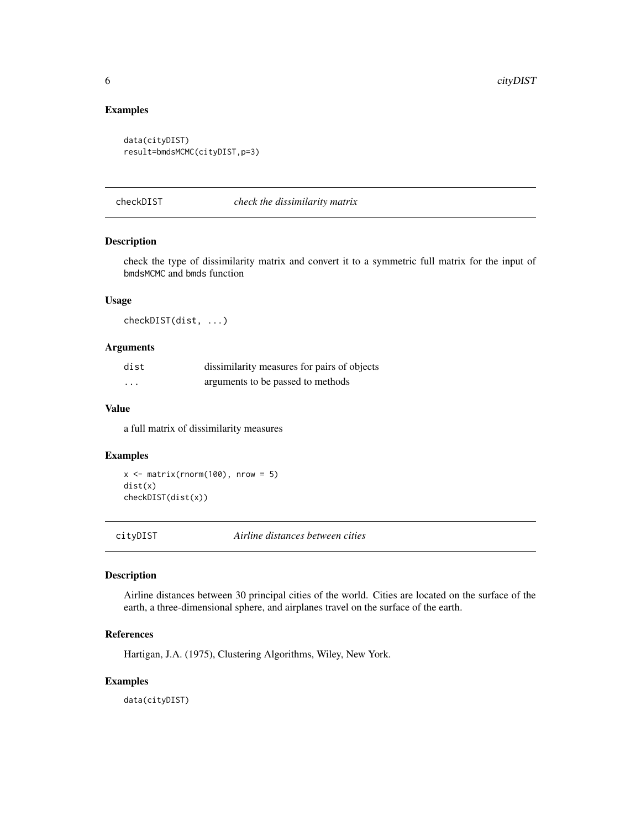# <span id="page-5-0"></span>Examples

```
data(cityDIST)
result=bmdsMCMC(cityDIST,p=3)
```
checkDIST *check the dissimilarity matrix*

# Description

check the type of dissimilarity matrix and convert it to a symmetric full matrix for the input of bmdsMCMC and bmds function

#### Usage

checkDIST(dist, ...)

#### Arguments

| dist     | dissimilarity measures for pairs of objects |
|----------|---------------------------------------------|
| $\cdots$ | arguments to be passed to methods           |

#### Value

a full matrix of dissimilarity measures

#### Examples

 $x \le$  matrix(rnorm(100), nrow = 5) dist(x) checkDIST(dist(x))

cityDIST *Airline distances between cities*

# Description

Airline distances between 30 principal cities of the world. Cities are located on the surface of the earth, a three-dimensional sphere, and airplanes travel on the surface of the earth.

#### References

Hartigan, J.A. (1975), Clustering Algorithms, Wiley, New York.

#### Examples

data(cityDIST)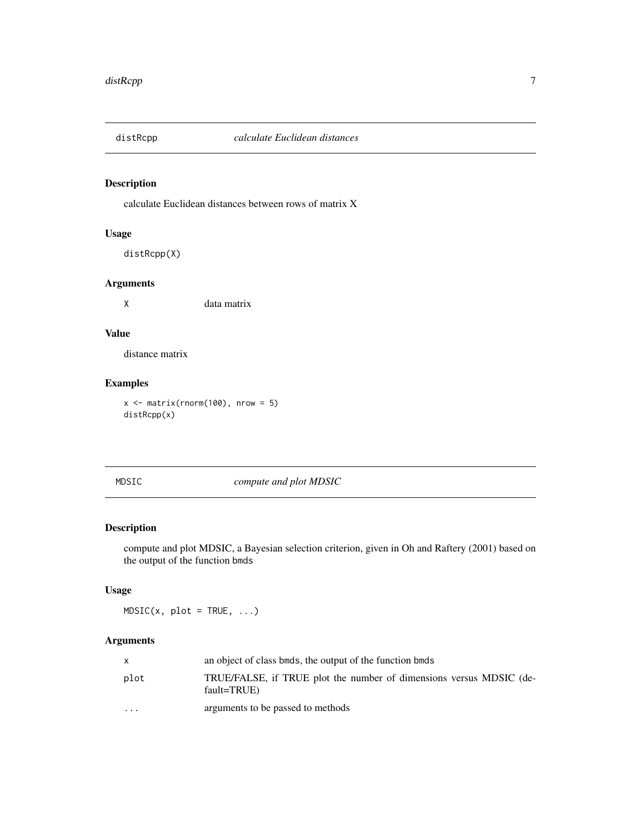<span id="page-6-0"></span>

# Description

calculate Euclidean distances between rows of matrix X

# Usage

distRcpp(X)

### Arguments

X data matrix

# Value

distance matrix

# Examples

 $x \le$  matrix(rnorm(100), nrow = 5) distRcpp(x)

MDSIC *compute and plot MDSIC*

# Description

compute and plot MDSIC, a Bayesian selection criterion, given in Oh and Raftery (2001) based on the output of the function bmds

#### Usage

 $MDSIC(x, plot = TRUE, ...)$ 

# Arguments

|                         | an object of class binds, the output of the function binds                         |
|-------------------------|------------------------------------------------------------------------------------|
| plot                    | TRUE/FALSE, if TRUE plot the number of dimensions versus MDSIC (de-<br>fault=TRUE) |
| $\cdot$ $\cdot$ $\cdot$ | arguments to be passed to methods                                                  |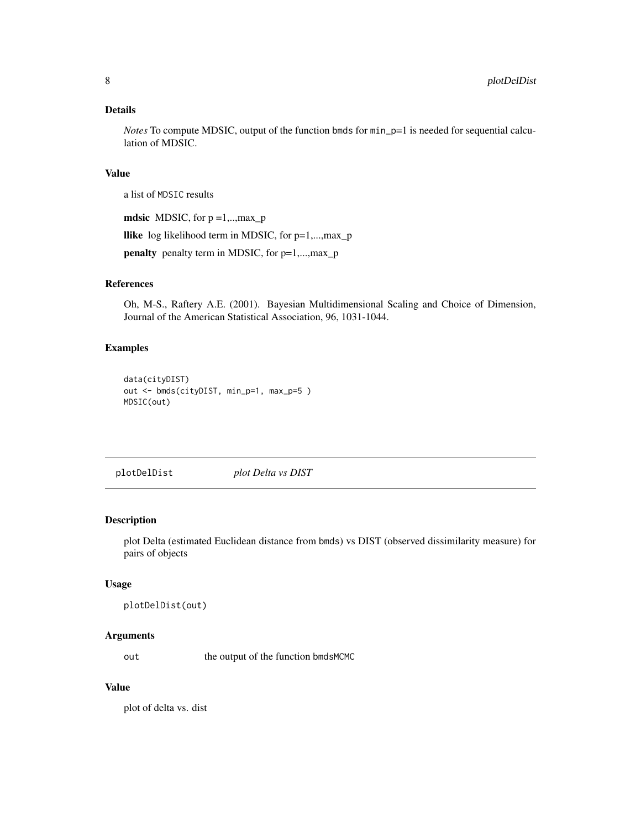#### <span id="page-7-0"></span>Details

*Notes* To compute MDSIC, output of the function bmds for min\_p=1 is needed for sequential calculation of MDSIC.

#### Value

a list of MDSIC results

mdsic MDSIC, for  $p = 1, \ldots, max_p$ 

llike log likelihood term in MDSIC, for p=1,...,max\_p

penalty penalty term in MDSIC, for p=1,...,max\_p

# References

Oh, M-S., Raftery A.E. (2001). Bayesian Multidimensional Scaling and Choice of Dimension, Journal of the American Statistical Association, 96, 1031-1044.

#### Examples

```
data(cityDIST)
out <- bmds(cityDIST, min_p=1, max_p=5 )
MDSIC(out)
```
plotDelDist *plot Delta vs DIST*

#### Description

plot Delta (estimated Euclidean distance from bmds) vs DIST (observed dissimilarity measure) for pairs of objects

#### Usage

```
plotDelDist(out)
```
# Arguments

out the output of the function bmdsMCMC

#### Value

plot of delta vs. dist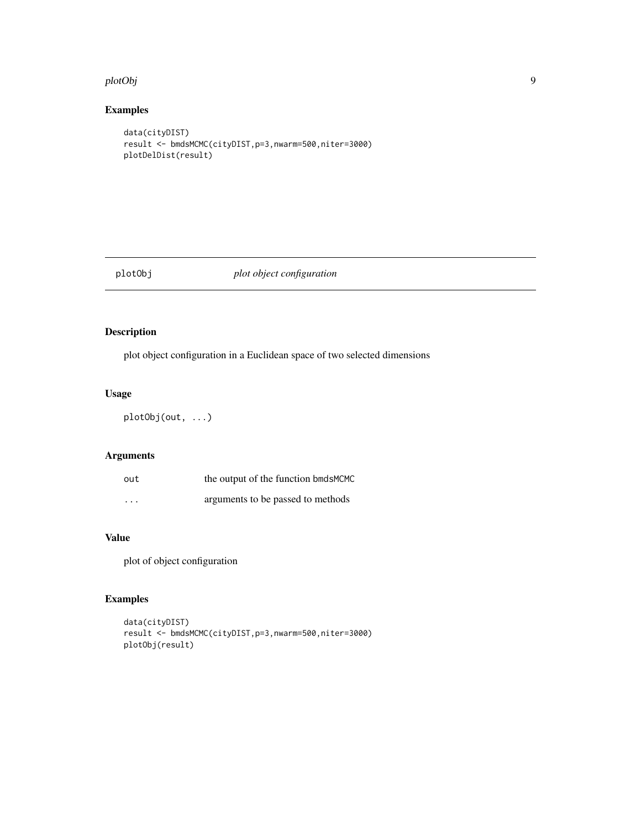#### <span id="page-8-0"></span>plotObj 9

# Examples

```
data(cityDIST)
result <- bmdsMCMC(cityDIST,p=3,nwarm=500,niter=3000)
plotDelDist(result)
```
# plotObj *plot object configuration*

# Description

plot object configuration in a Euclidean space of two selected dimensions

# Usage

plotObj(out, ...)

# Arguments

| out                     | the output of the function bmdsMCMC |
|-------------------------|-------------------------------------|
| $\cdot$ $\cdot$ $\cdot$ | arguments to be passed to methods   |

# Value

plot of object configuration

# Examples

```
data(cityDIST)
result <- bmdsMCMC(cityDIST,p=3,nwarm=500,niter=3000)
plotObj(result)
```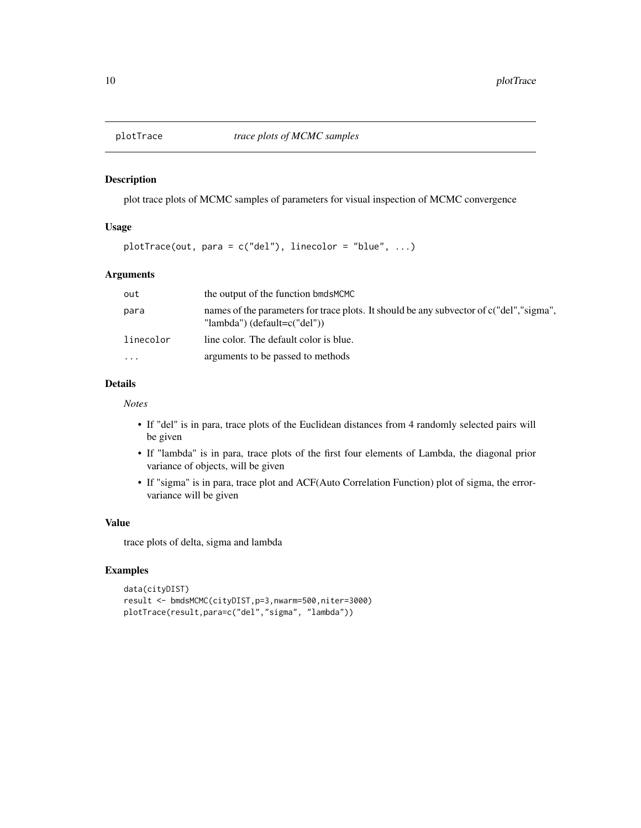<span id="page-9-0"></span>

#### Description

plot trace plots of MCMC samples of parameters for visual inspection of MCMC convergence

## Usage

 $plotTrace(out, para = c("del"), linecolor = "blue", ...)$ 

# Arguments

| out       | the output of the function bmdsMCMC                                                                                     |
|-----------|-------------------------------------------------------------------------------------------------------------------------|
| para      | names of the parameters for trace plots. It should be any subvector of c("del","sigma",<br>"lambda") (default=c("del")) |
| linecolor | line color. The default color is blue.                                                                                  |
| $\ddotsc$ | arguments to be passed to methods                                                                                       |

# Details

*Notes*

- If "del" is in para, trace plots of the Euclidean distances from 4 randomly selected pairs will be given
- If "lambda" is in para, trace plots of the first four elements of Lambda, the diagonal prior variance of objects, will be given
- If "sigma" is in para, trace plot and ACF(Auto Correlation Function) plot of sigma, the errorvariance will be given

#### Value

trace plots of delta, sigma and lambda

#### Examples

```
data(cityDIST)
result <- bmdsMCMC(cityDIST,p=3,nwarm=500,niter=3000)
plotTrace(result,para=c("del","sigma", "lambda"))
```